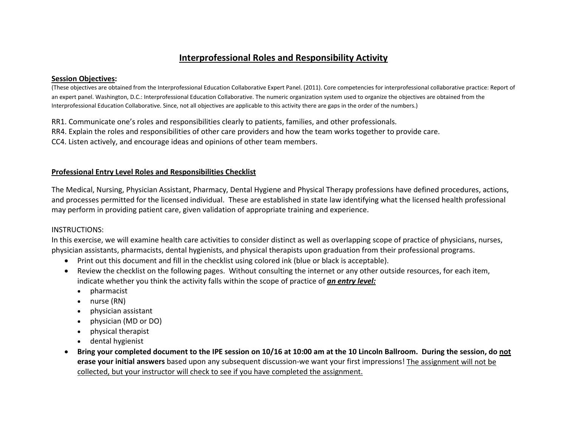# **Interprofessional Roles and Responsibility Activity**

#### **Session Objectives:**

(These objectives are obtained from the Interprofessional Education Collaborative Expert Panel. (2011). Core competencies for interprofessional collaborative practice: Report of an expert panel. Washington, D.C.: Interprofessional Education Collaborative. The numeric organization system used to organize the objectives are obtained from the Interprofessional Education Collaborative. Since, not all objectives are applicable to this activity there are gaps in the order of the numbers.)

RR1. Communicate one's roles and responsibilities clearly to patients, families, and other professionals.

RR4. Explain the roles and responsibilities of other care providers and how the team works together to provide care.

CC4. Listen actively, and encourage ideas and opinions of other team members.

#### **Professional Entry Level Roles and Responsibilities Checklist**

The Medical, Nursing, Physician Assistant, Pharmacy, Dental Hygiene and Physical Therapy professions have defined procedures, actions, and processes permitted for the licensed individual. These are established in state law identifying what the licensed health professional may perform in providing patient care, given validation of appropriate training and experience.

### INSTRUCTIONS:

In this exercise, we will examine health care activities to consider distinct as well as overlapping scope of practice of physicians, nurses, physician assistants, pharmacists, dental hygienists, and physical therapists upon graduation from their professional programs.

- Print out this document and fill in the checklist using colored ink (blue or black is acceptable).
- Review the checklist on the following pages. Without consulting the internet or any other outside resources, for each item, indicate whether you think the activity falls within the scope of practice of *an entry level:*
	- pharmacist
	- nurse (RN)
	- physician assistant
	- physician (MD or DO)
	- physical therapist
	- dental hygienist
- **Bring your completed document to the IPE session on 10/16 at 10:00 am at the 10 Lincoln Ballroom. During the session, do not erase your initial answers** based upon any subsequent discussion-we want your first impressions! The assignment will not be collected, but your instructor will check to see if you have completed the assignment.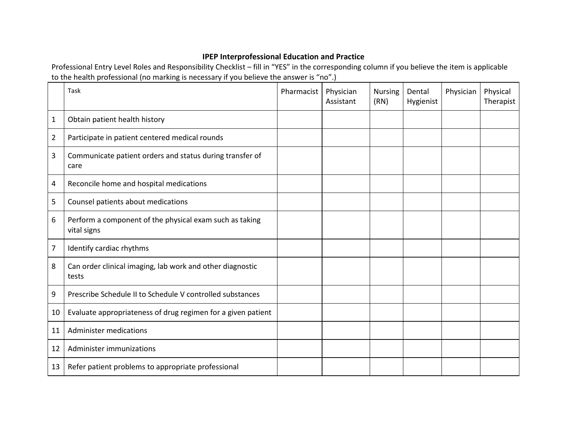## **IPEP Interprofessional Education and Practice**

Professional Entry Level Roles and Responsibility Checklist – fill in "YES" in the corresponding column if you believe the item is applicable to the health professional (no marking is necessary if you believe the answer is "no".)

|              | Task                                                                   | Pharmacist | Physician<br>Assistant | <b>Nursing</b><br>(RN) | Dental<br>Hygienist | Physician | Physical<br>Therapist |
|--------------|------------------------------------------------------------------------|------------|------------------------|------------------------|---------------------|-----------|-----------------------|
| $\mathbf{1}$ | Obtain patient health history                                          |            |                        |                        |                     |           |                       |
| 2            | Participate in patient centered medical rounds                         |            |                        |                        |                     |           |                       |
| 3            | Communicate patient orders and status during transfer of<br>care       |            |                        |                        |                     |           |                       |
| 4            | Reconcile home and hospital medications                                |            |                        |                        |                     |           |                       |
| 5            | Counsel patients about medications                                     |            |                        |                        |                     |           |                       |
| 6            | Perform a component of the physical exam such as taking<br>vital signs |            |                        |                        |                     |           |                       |
| 7            | Identify cardiac rhythms                                               |            |                        |                        |                     |           |                       |
| 8            | Can order clinical imaging, lab work and other diagnostic<br>tests     |            |                        |                        |                     |           |                       |
| 9            | Prescribe Schedule II to Schedule V controlled substances              |            |                        |                        |                     |           |                       |
| 10           | Evaluate appropriateness of drug regimen for a given patient           |            |                        |                        |                     |           |                       |
| 11           | <b>Administer medications</b>                                          |            |                        |                        |                     |           |                       |
| 12           | Administer immunizations                                               |            |                        |                        |                     |           |                       |
| 13           | Refer patient problems to appropriate professional                     |            |                        |                        |                     |           |                       |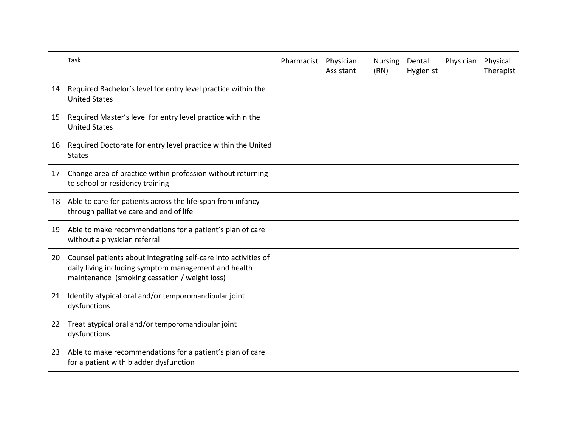|    | Task                                                                                                                                                                     | Pharmacist | Physician<br>Assistant | <b>Nursing</b><br>(RN) | Dental<br>Hygienist | Physician | Physical<br>Therapist |
|----|--------------------------------------------------------------------------------------------------------------------------------------------------------------------------|------------|------------------------|------------------------|---------------------|-----------|-----------------------|
| 14 | Required Bachelor's level for entry level practice within the<br><b>United States</b>                                                                                    |            |                        |                        |                     |           |                       |
| 15 | Required Master's level for entry level practice within the<br><b>United States</b>                                                                                      |            |                        |                        |                     |           |                       |
| 16 | Required Doctorate for entry level practice within the United<br><b>States</b>                                                                                           |            |                        |                        |                     |           |                       |
| 17 | Change area of practice within profession without returning<br>to school or residency training                                                                           |            |                        |                        |                     |           |                       |
| 18 | Able to care for patients across the life-span from infancy<br>through palliative care and end of life                                                                   |            |                        |                        |                     |           |                       |
| 19 | Able to make recommendations for a patient's plan of care<br>without a physician referral                                                                                |            |                        |                        |                     |           |                       |
| 20 | Counsel patients about integrating self-care into activities of<br>daily living including symptom management and health<br>maintenance (smoking cessation / weight loss) |            |                        |                        |                     |           |                       |
| 21 | Identify atypical oral and/or temporomandibular joint<br>dysfunctions                                                                                                    |            |                        |                        |                     |           |                       |
| 22 | Treat atypical oral and/or temporomandibular joint<br>dysfunctions                                                                                                       |            |                        |                        |                     |           |                       |
| 23 | Able to make recommendations for a patient's plan of care<br>for a patient with bladder dysfunction                                                                      |            |                        |                        |                     |           |                       |